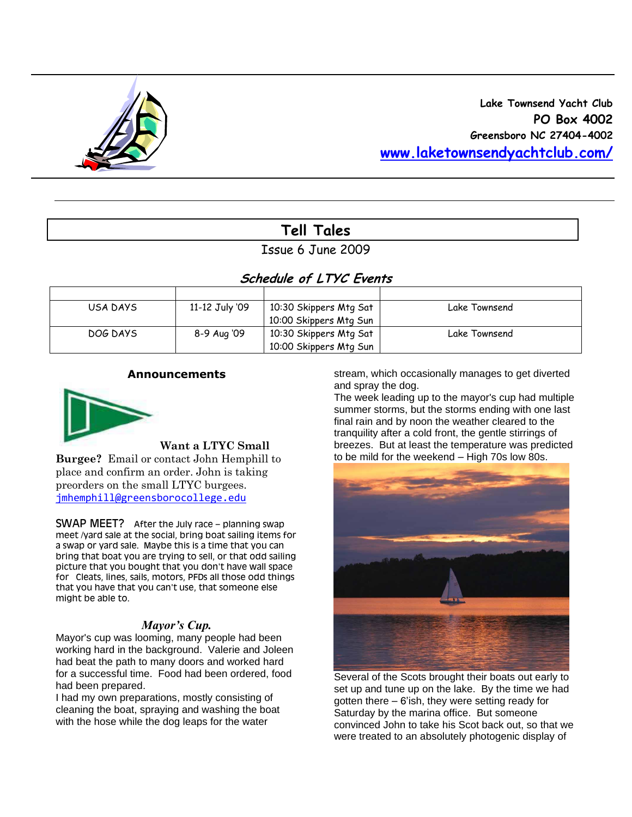

# **Tell Tales**

Issue 6 June 2009

# **Schedule of LTYC Events**

| USA DAYS | 11-12 July '09 | 10:30 Skippers Mtg Sat | Lake Townsend |
|----------|----------------|------------------------|---------------|
|          |                | 10:00 Skippers Mtg Sun |               |
| DOG DAYS | 8-9 Aug '09    | 10:30 Skippers Mtg Sat | Lake Townsend |
|          |                | 10:00 Skippers Mtg Sun |               |

#### **Announcements**



**Want a LTYC Small** 

**Burgee?** Email or contact John Hemphill to place and confirm an order. John is taking preorders on the small LTYC burgees. [jmhemphill@greensborocollege.edu](mailto:jmhemphill@greensborocollege.edu)

SWAP MEET? After the July race – planning swap meet /yard sale at the social, bring boat sailing items for a swap or yard sale. Maybe this is a time that you can bring that boat you are trying to sell, or that odd sailing picture that you bought that you don't have wall space for Cleats, lines, sails, motors, PFDs all those odd things that you have that you can't use, that someone else might be able to.

## *Mayor's Cup.*

Mayor's cup was looming, many people had been working hard in the background. Valerie and Joleen had beat the path to many doors and worked hard for a successful time. Food had been ordered, food had been prepared.

I had my own preparations, mostly consisting of cleaning the boat, spraying and washing the boat with the hose while the dog leaps for the water

stream, which occasionally manages to get diverted and spray the dog.

The week leading up to the mayor's cup had multiple summer storms, but the storms ending with one last final rain and by noon the weather cleared to the tranquility after a cold front, the gentle stirrings of breezes. But at least the temperature was predicted to be mild for the weekend – High 70s low 80s.



Several of the Scots brought their boats out early to set up and tune up on the lake. By the time we had gotten there – 6'ish, they were setting ready for Saturday by the marina office. But someone convinced John to take his Scot back out, so that we were treated to an absolutely photogenic display of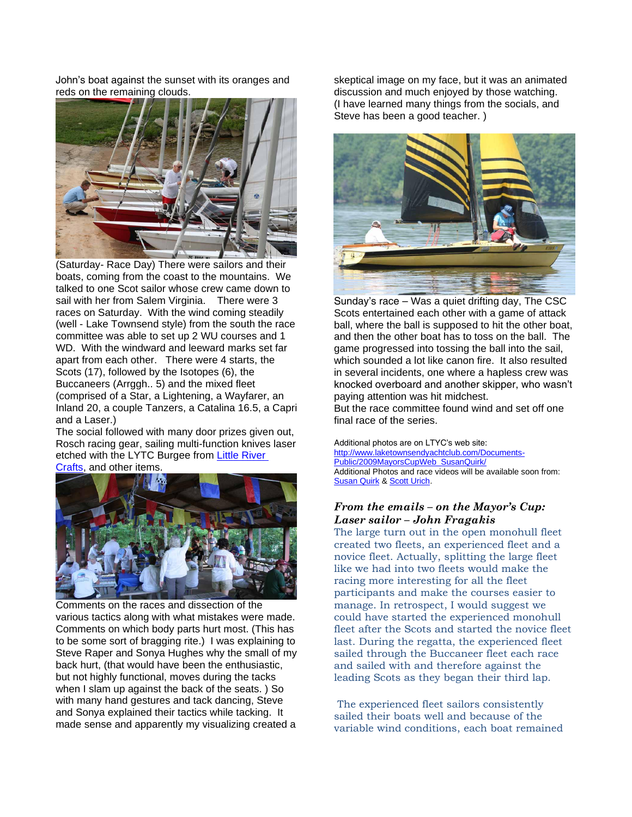John's boat against the sunset with its oranges and reds on the remaining clouds.



(Saturday- Race Day) There were sailors and their boats, coming from the coast to the mountains. We talked to one Scot sailor whose crew came down to sail with her from Salem Virginia. There were 3 races on Saturday. With the wind coming steadily (well - Lake Townsend style) from the south the race committee was able to set up 2 WU courses and 1 WD. With the windward and leeward marks set far apart from each other. There were 4 starts, the Scots (17), followed by the Isotopes (6), the Buccaneers (Arrggh.. 5) and the mixed fleet (comprised of a Star, a Lightening, a Wayfarer, an Inland 20, a couple Tanzers, a Catalina 16.5, a Capri and a Laser.)

The social followed with many door prizes given out, Rosch racing gear, sailing multi-function knives laser etched with the LYTC Burgee from [Little River](http://www.littlerivercrafts.com/) 

[Crafts,](http://www.littlerivercrafts.com/) and other items.



Comments on the races and dissection of the various tactics along with what mistakes were made. Comments on which body parts hurt most. (This has to be some sort of bragging rite.) I was explaining to Steve Raper and Sonya Hughes why the small of my back hurt, (that would have been the enthusiastic, but not highly functional, moves during the tacks when I slam up against the back of the seats. ) So with many hand gestures and tack dancing, Steve and Sonya explained their tactics while tacking. It made sense and apparently my visualizing created a

skeptical image on my face, but it was an animated discussion and much enjoyed by those watching. (I have learned many things from the socials, and Steve has been a good teacher. )



Sunday's race – Was a quiet drifting day, The CSC Scots entertained each other with a game of attack ball, where the ball is supposed to hit the other boat, and then the other boat has to toss on the ball. The game progressed into tossing the ball into the sail, which sounded a lot like canon fire. It also resulted in several incidents, one where a hapless crew was knocked overboard and another skipper, who wasn't paying attention was hit midchest. But the race committee found wind and set off one final race of the series.

Additional photos are on LTYC's web site: [http://www.laketownsendyachtclub.com/Documents-](http://www.laketownsendyachtclub.com/Documents-Public/2009MayorsCupWeb_SusanQuirk/)[Public/2009MayorsCupWeb\\_SusanQuirk/](http://www.laketownsendyachtclub.com/Documents-Public/2009MayorsCupWeb_SusanQuirk/) Additional Photos and race videos will be available soon from: [Susan Quirk](mailto:biddlefox@aol.com) [& Scott Urich.](mailto:scott@brli-productions.com)

#### *From the emails – on the Mayor's Cup: Laser sailor – John Fragakis*

The large turn out in the open monohull fleet created two fleets, an experienced fleet and a novice fleet. Actually, splitting the large fleet like we had into two fleets would make the racing more interesting for all the fleet participants and make the courses easier to manage. In retrospect, I would suggest we could have started the experienced monohull fleet after the Scots and started the novice fleet last. During the regatta, the experienced fleet sailed through the Buccaneer fleet each race and sailed with and therefore against the leading Scots as they began their third lap.

The experienced fleet sailors consistently sailed their boats well and because of the variable wind conditions, each boat remained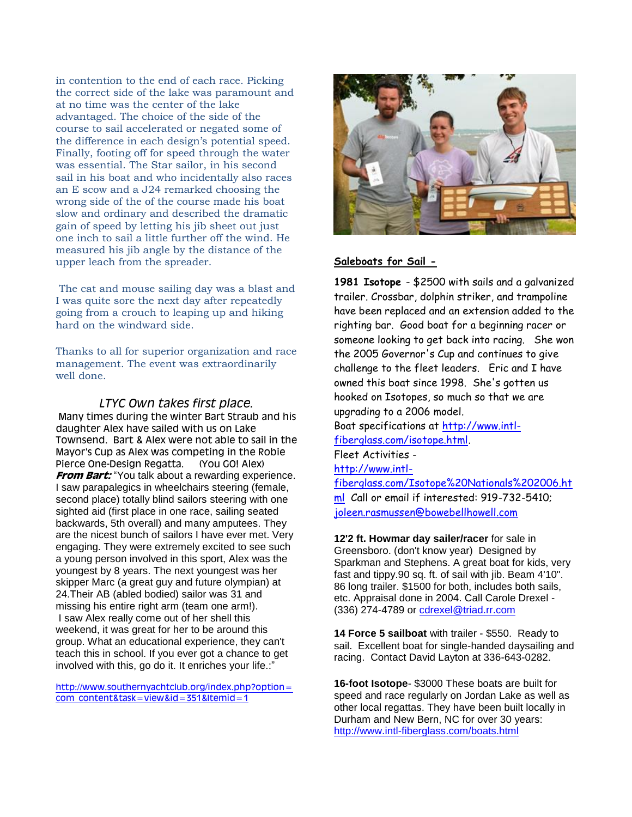in contention to the end of each race. Picking the correct side of the lake was paramount and at no time was the center of the lake advantaged. The choice of the side of the course to sail accelerated or negated some of the difference in each design's potential speed. Finally, footing off for speed through the water was essential. The Star sailor, in his second sail in his boat and who incidentally also races an E scow and a J24 remarked choosing the wrong side of the of the course made his boat slow and ordinary and described the dramatic gain of speed by letting his jib sheet out just one inch to sail a little further off the wind. He measured his jib angle by the distance of the upper leach from the spreader.

The cat and mouse sailing day was a blast and I was quite sore the next day after repeatedly going from a crouch to leaping up and hiking hard on the windward side.

Thanks to all for superior organization and race management. The event was extraordinarily well done.

#### *LTYC Own takes first place.*

Many times during the winter Bart Straub and his daughter Alex have sailed with us on Lake Townsend. Bart & Alex were not able to sail in the Mayor's Cup as Alex was competing in the Robie Pierce One-Design Regatta. (You GO! Alex) **From Bart:** "You talk about a rewarding experience. I saw parapalegics in wheelchairs steering (female, second place) totally blind sailors steering with one sighted aid (first place in one race, sailing seated backwards, 5th overall) and many amputees. They are the nicest bunch of sailors I have ever met. Very engaging. They were extremely excited to see such a young person involved in this sport, Alex was the youngest by 8 years. The next youngest was her skipper Marc (a great guy and future olympian) at 24.Their AB (abled bodied) sailor was 31 and missing his entire right arm (team one arm!). I saw Alex really come out of her shell this weekend, it was great for her to be around this group. What an educational experience, they can't teach this in school. If you ever got a chance to get involved with this, go do it. It enriches your life.:"

[http://www.southernyachtclub.org/index.php?option=](http://www.southernyachtclub.org/index.php?option=com_content&task=view&id=351&Itemid=1) [com\\_content&task=view&id=351&Itemid=1](http://www.southernyachtclub.org/index.php?option=com_content&task=view&id=351&Itemid=1)



#### **Saleboats for Sail -**

**1981 Isotope** - \$2500 with sails and a galvanized trailer. Crossbar, dolphin striker, and trampoline have been replaced and an extension added to the righting bar. Good boat for a beginning racer or someone looking to get back into racing. She won the 2005 Governor's Cup and continues to give challenge to the fleet leaders. Eric and I have owned this boat since 1998. She's gotten us hooked on Isotopes, so much so that we are upgrading to a 2006 model. Boat specifications at [http://www.intl](http://www.intl-fiberglass.com/isotope.html)[fiberglass.com/isotope.html.](http://www.intl-fiberglass.com/isotope.html) Fleet Activities [http://www.intl](http://www.intl-fiberglass.com/Isotope%20Nationals%202006.html)[fiberglass.com/Isotope%20Nationals%202006.ht](http://www.intl-fiberglass.com/Isotope%20Nationals%202006.html)

[ml](http://www.intl-fiberglass.com/Isotope%20Nationals%202006.html) Call or email if interested: 919-732-5410; [joleen.rasmussen@bowebellhowell.com](mailto:joleen.rasmussen@bowebellhowell.com)

**12'2 ft. Howmar day sailer/racer** for sale in Greensboro. (don't know year) Designed by Sparkman and Stephens. A great boat for kids, very fast and tippy.90 sq. ft. of sail with jib. Beam 4'10". 86 long trailer. \$1500 for both, includes both sails, etc. Appraisal done in 2004. Call Carole Drexel (336) 274-4789 or [cdrexel@triad.rr.com](mailto:cdrexel@triad.rr.com)

**14 Force 5 sailboat** with trailer - \$550. Ready to sail. Excellent boat for single-handed daysailing and racing. Contact David Layton at 336-643-0282.

**16-foot Isotope**- \$3000 These boats are built for speed and race regularly on Jordan Lake as well as other local regattas. They have been built locally in Durham and New Bern, NC for over 30 years: <http://www.intl-fiberglass.com/boats.html>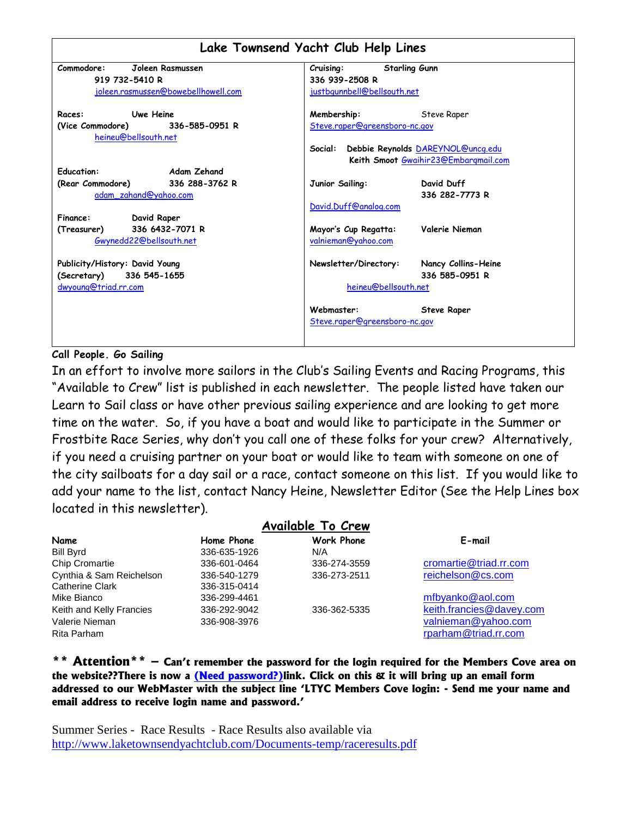|                                                          | Lake Townsend Yacht Club Help Lines             |  |  |  |  |  |  |  |  |
|----------------------------------------------------------|-------------------------------------------------|--|--|--|--|--|--|--|--|
| Commodore:<br>Joleen Rasmussen                           | <b>Starling Gunn</b><br>Cruising:               |  |  |  |  |  |  |  |  |
| 919 732-5410 R                                           | 336 939-2508 R                                  |  |  |  |  |  |  |  |  |
| joleen.rasmussen@bowebellhowell.com                      | justbgunnbell@bellsouth.net                     |  |  |  |  |  |  |  |  |
| <b>Uwe Heine</b><br>Races:                               | Membership:<br>Steve Raper                      |  |  |  |  |  |  |  |  |
| (Vice Commodore) 336-585-0951 R                          | Steve.raper@greensboro-nc.gov                   |  |  |  |  |  |  |  |  |
| heineu@bellsouth.net                                     |                                                 |  |  |  |  |  |  |  |  |
|                                                          | Debbie Reynolds DAREYNOL@uncq.edu<br>Social:    |  |  |  |  |  |  |  |  |
|                                                          | Keith Smoot Gwaihir23@Embargmail.com            |  |  |  |  |  |  |  |  |
| <b>Education:</b><br>Adam Zehand                         |                                                 |  |  |  |  |  |  |  |  |
| (Rear Commodore) 336 288-3762 R<br>adam zahand@yahoo.com | Junior Sailing:<br>David Duff<br>336 282-7773 R |  |  |  |  |  |  |  |  |
|                                                          | David.Duff@analog.com                           |  |  |  |  |  |  |  |  |
| David Raper<br>Finance:                                  |                                                 |  |  |  |  |  |  |  |  |
| 336 6432-7071 R<br>(Treasurer)                           | Valerie Nieman<br>Mayor's Cup Regatta:          |  |  |  |  |  |  |  |  |
| Gwynedd22@bellsouth.net                                  | valnieman@yahoo.com                             |  |  |  |  |  |  |  |  |
|                                                          |                                                 |  |  |  |  |  |  |  |  |
| Publicity/History: David Young                           | Newsletter/Directory:<br>Nancy Collins-Heine    |  |  |  |  |  |  |  |  |
| (Secretary) 336 545-1655                                 | 336 585-0951 R                                  |  |  |  |  |  |  |  |  |
| dwyoung@triad.rr.com                                     | heineu@bellsouth.net                            |  |  |  |  |  |  |  |  |
|                                                          | Webmaster:<br><b>Steve Raper</b>                |  |  |  |  |  |  |  |  |
|                                                          | Steve.raper@greensboro-nc.gov                   |  |  |  |  |  |  |  |  |
|                                                          |                                                 |  |  |  |  |  |  |  |  |

## **Call People. Go Sailing**

In an effort to involve more sailors in the Club"s Sailing Events and Racing Programs, this "Available to Crew" list is published in each newsletter. The people listed have taken our Learn to Sail class or have other previous sailing experience and are looking to get more time on the water. So, if you have a boat and would like to participate in the Summer or Frostbite Race Series, why don"t you call one of these folks for your crew? Alternatively, if you need a cruising partner on your boat or would like to team with someone on one of the city sailboats for a day sail or a race, contact someone on this list. If you would like to add your name to the list, contact Nancy Heine, Newsletter Editor (See the Help Lines box located in this newsletter).

|                          |              | Available To Crew |                          |
|--------------------------|--------------|-------------------|--------------------------|
| Name                     | Home Phone   | <b>Work Phone</b> | E-mail                   |
| <b>Bill Byrd</b>         | 336-635-1926 | N/A               |                          |
| <b>Chip Cromartie</b>    | 336-601-0464 | 336-274-3559      | cromartie@triad.rr.com   |
| Cynthia & Sam Reichelson | 336-540-1279 | 336-273-2511      | reichelson@cs.com        |
| <b>Catherine Clark</b>   | 336-315-0414 |                   |                          |
| Mike Bianco              | 336-299-4461 |                   | mfbyanko@aol.com         |
| Keith and Kelly Francies | 336-292-9042 | 336-362-5335      | keith.francies@davey.com |
| Valerie Nieman           | 336-908-3976 |                   | valnieman@yahoo.com      |
| Rita Parham              |              |                   | rparham@triad.rr.com     |

**\*\* Attention\*\* – Can't remember the password for the login required for the Members Cove area on the website??There is now a (Need password?)link. Click on this & it will bring up an email form addressed to our WebMaster with the subject line 'LTYC Members Cove login: - Send me your name and email address to receive login name and password.'** 

Summer Series - Race Results - Race Results also available via <http://www.laketownsendyachtclub.com/Documents-temp/raceresults.pdf>